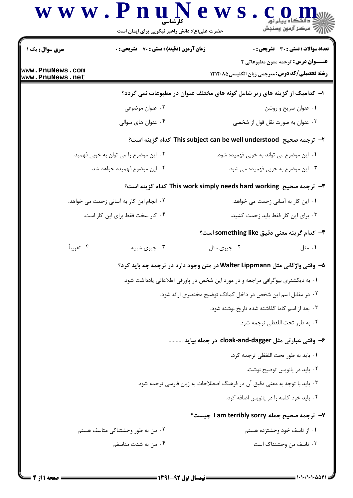|                                    | www.PnuNews<br>حضرت علی(ع): دانش راهبر نیکویی برای ایمان است | ڪ دانشڪاه پيام نور<br>  <i> √</i> مرکز آزمون وسنڊش                                                 |
|------------------------------------|--------------------------------------------------------------|----------------------------------------------------------------------------------------------------|
| <b>سری سوال :</b> یک ۱             | <b>زمان آزمون (دقیقه) : تستی : 70 قشریحی : 0</b>             | <b>تعداد سوالات : تستی : 30 ٪ تشریحی : 0</b>                                                       |
| www.PnuNews.com<br>www.PnuNews.net |                                                              | <b>عنــوان درس:</b> ترجمه متون مطبوعاتی ۲<br><b>رشته تحصیلی/کد درس:</b> مترجمی زبان انگلیسی۵۸۲۱۲۰۸ |
|                                    |                                                              | ا– کدامیک از گزینه های زیر شامل گونه های مختلف عنوان در مطبوعات نمی گردد؟                          |
|                                    | ۰۲ عنوان موضوعی                                              | ۰۱ عنوان صریح و روشن                                                                               |
|                                    | ۰۴ عنوان های سوالی                                           | ۰۳ عنوان به صورت نقل قول از شخصی                                                                   |
|                                    |                                                              | ۲–  ترجمه صحیح  This subject can be well understood  کدام گزینه است؟                               |
|                                    | ۰۲ این موضوع را می توان به خوبی فهمید.                       | ۰۱ این موضوع می تواند به خوبی فهمیده شود.                                                          |
|                                    | ۰۴ این موضوع فهمیده خواهد شد.                                | ۰۳ این موضوع به خوبی فهمیده می شود.                                                                |
|                                    |                                                              | ۳–  ترجمه صحیح  This work simply needs hard working  کدام گزینه است؟                               |
|                                    | ۰۲ انجام این کار به آسانی زحمت می خواهد.                     | ٠١. اين كار به آساني زحمت مي خواهد.                                                                |
|                                    | ۰۴ کار سخت فقط برای این کار است.                             | ۰۳ برای این کار فقط باید زحمت کشید.                                                                |
|                                    |                                                              | ۴– کدام گزینه معنی دقیق something like است؟                                                        |
| ۰۴ تقريباً                         | ۰۳ چیزی شبیه                                                 | ۰۲ چيزي مثل<br>۰۱ مثل                                                                              |
|                                    |                                                              | ۵− وقتی واژگانی مثل Walter Lippmann در متن وجود دارد در ترجمه چه باید کرد؟                         |
|                                    |                                                              | ۰۱ به دیکشنری بیوگرافی مراجعه و در مورد این شخص در پاورقی اطلاعاتی یادداشت شود.                    |
|                                    |                                                              | ۰۲ در مقابل اسم این شخص در داخل کمانک توضیح مختصری ارائه شود.                                      |
|                                    |                                                              | ۰۳ بعد از اسم کاما گذاشته شده تاریخ نوشته شود.                                                     |
|                                    |                                                              | ۰۴ به طور تحت اللفظي ترجمه شود.                                                                    |
|                                    |                                                              | ۶- وقتی عبارتی مثل cloak-and-dagger در جمله بیاید                                                  |
|                                    |                                                              | ٠١. بايد به طور تحت اللفظي ترجمه كرد.                                                              |
|                                    |                                                              | ۰۲ باید در پانویس توضیح نوشت.                                                                      |
|                                    |                                                              | ۰۳ باید با توجه به معنی دقیق آن در فرهنگ اصطلاحات به زبان فارسی ترجمه شود.                         |
|                                    |                                                              | ۰۴ باید خود کلمه را در پانویس اضافه کرد.                                                           |
|                                    |                                                              | ۷- ترجمه صحیح جمله I am terribly sorry چیست؟                                                       |
|                                    | ۰۲ من به طور وحشتناکی متاسف هستم                             | ۰۱ از تاسف خود وحشتزده هستم                                                                        |
|                                    | ۰۴ من به شدت متاسفم                                          | ۰۳ تاسف من وحشتناک است                                                                             |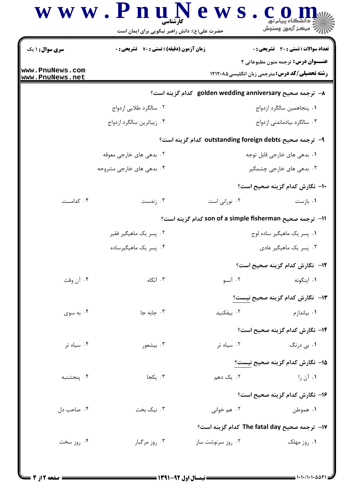| <b>سری سوال :</b> ۱ یک             | <b>زمان آزمون (دقیقه) : تستی : 70 ٪ تشریحی : 0</b> |                                                           | تعداد سوالات : تستى : 30 قشريحى : 0       |
|------------------------------------|----------------------------------------------------|-----------------------------------------------------------|-------------------------------------------|
| www.PnuNews.com<br>www.PnuNews.net |                                                    | <b>رشته تحصیلی/کد درس:</b> مترجمی زبان انگلیسی4۲۱۲۰۸۵     | <b>عنــوان درس:</b> ترجمه متون مطبوعاتي ٢ |
|                                    |                                                    | A− ترجمه صحیح golden wedding anniversary کدام گزینه است؟  |                                           |
|                                    | ۰۲ سالگرد طلایی ازدواج                             |                                                           | ٠١. پنجاهمين سالگرد ازدواج                |
|                                    | ۰۴ زیباترین سالگرد ازدواج                          |                                                           | ۰۳ سالگرد بیادماندنی ازدواج               |
|                                    |                                                    | ۹–  ترجمه صحیح outstanding foreign debts کدام گزینه است؟  |                                           |
|                                    | ۲. بدهی های خارجی معوقه                            |                                                           | ۰۱ بدهی های خارجی قابل توجه               |
|                                    | ۰۴ بدهی های خارجی مشروحه                           |                                                           | ۰۳ بدهی های خارجی چشمگیر                  |
|                                    |                                                    |                                                           | ∙ا− نگارش کدام گزینه صحیح است؟            |
| ۰۴ کدامست                          | ۰۳ زندست                                           | ۰۲ نورانی است                                             | ۰۱ بازست                                  |
|                                    |                                                    | اا–  ترجمه صحیح son of a simple fisherman کدام گزینه است؟ |                                           |
|                                    | ۰۲ پسر یک ماهیگیر فقیر                             |                                                           | ۰۱ پسر یک ماهیگیر ساده لوح                |
|                                    | ۰۴ پسر یک ماهیگیرساده                              |                                                           | ۰۳ پسر یک ماهیگیر عادی                    |
|                                    |                                                    |                                                           | 1 <b>۲</b> - نگارش کدام گزینه صحیح است؟   |
| ۰۴ آن وقت                          | ۰۳ آنگاه                                           | ٢. آنسو                                                   | ۰۱ اینگونه                                |
|                                    |                                                    | ۱۳– نگارش کدام گزینه صحیح نیست؟                           |                                           |
| ۰۴ به سوی                          | ۰۳ جابه جا                                         | ۰۲ بیفکنید                                                | ۰۱ بیاندازم                               |
|                                    |                                                    |                                                           | <b>۱۴</b> – نگارش کدام گزینه صحیح است؟    |
| ۰۴ سیاه تر                         | ۰۳ بیشعور                                          | ۰۲ سیاه تر                                                | ۰۱ ب <sub>ی</sub> درنگ                    |
|                                    |                                                    | 1۵– نگارش کدام گزینه صحیح نیست؟                           |                                           |
| ۰۴ پنجشنبه                         | ۰۳ یکجا                                            | ۲. یک دهم                                                 | ۰۱ آن را                                  |
|                                    |                                                    |                                                           | ۱۶– نگارش کدام گزینه صحیح است؟            |
| ۰۴ صاحب دل                         | ۰۳ نیک بخت                                         | ۰۲ هم خوانی                                               | ۰۱ هموطن                                  |
|                                    |                                                    |                                                           |                                           |
|                                    |                                                    | 17– ترجمه صحيح The fatal day كدام گزينه است؟              |                                           |
| ۰۴ روز سخت                         | ۰۳ روز مرگبار                                      | ۰۲ روز سرنوشت ساز                                         | ۰۱ روز مهلک                               |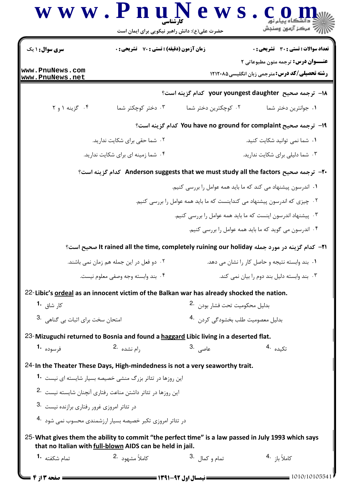| <b>سری سوال :</b> ۱ یک                      | زمان آزمون (دقیقه) : تستی : 70 گشریحی : 0                                                                                                                        | حضرت علی(ع): دانش راهبر نیکویی برای ایمان است<br>تعداد سوالات : تستى : 30 ٪ تشريحي : 0 |                                                                                              |  |
|---------------------------------------------|------------------------------------------------------------------------------------------------------------------------------------------------------------------|----------------------------------------------------------------------------------------|----------------------------------------------------------------------------------------------|--|
|                                             |                                                                                                                                                                  | <b>عنـــوان درس:</b> ترجمه متون مطبوعاتی ۲                                             |                                                                                              |  |
| www.PnuNews.com<br>www.PnuNews.net          |                                                                                                                                                                  |                                                                                        | <b>رشته تحصیلی/کد درس:</b> مترجمی زبان انگلیسی۱۲۱۲۰۸۵                                        |  |
|                                             |                                                                                                                                                                  |                                                                                        | ا− ترجمه صحیح your youngest daughter کدام گزینه است؟                                         |  |
| ۰۴ گزینه ۱ و ۲                              | ۰۳ دختر کوچکتر شما                                                                                                                                               | ۰۲ کوچکترین دختر شما                                                                   | ٠١. جوانترين دختر شما                                                                        |  |
|                                             |                                                                                                                                                                  |                                                                                        | 1۹- ترجمه صحيح You have no ground for complaint كدام گزينه است؟                              |  |
|                                             | ۰۲ شما حقی برای شکایت ندارید.                                                                                                                                    |                                                                                        | ۰۱ شما نمی توانید شکایت کنید.                                                                |  |
|                                             | ۰۴ شما زمینه ای برای شکایت ندارید.                                                                                                                               |                                                                                        | ۰۳ شما دلیلی برای شکایت ندارید.                                                              |  |
|                                             |                                                                                                                                                                  |                                                                                        | +۲- ترجمه صحيح Anderson suggests that we must study all the factors كدام گزينه است؟          |  |
|                                             |                                                                                                                                                                  |                                                                                        | ۰۱ اندرسون پیشنهاد می کند که ما باید همه عوامل را بررسی کنیم.                                |  |
|                                             |                                                                                                                                                                  |                                                                                        | ۰۲ چیزی که اندرسون پیشنهاد می کنداینست که ما باید همه عوامل را بررسی کنیم.                   |  |
|                                             |                                                                                                                                                                  |                                                                                        | ۰۳ پیشنهاد اندرسون اینست که ما باید همه عوامل را بررسی کنیم.                                 |  |
|                                             |                                                                                                                                                                  |                                                                                        | ۰۴ اندرسون می گوید که ما باید همه عوامل را بررسی کنیم.                                       |  |
|                                             |                                                                                                                                                                  |                                                                                        | ا۲− كدام گزينه در مورد جمله It rained all the time, completely ruining our holiday صحيح است؟ |  |
|                                             | ۰۲ دو فعل در این جمله هم زمان نمی باشند.                                                                                                                         |                                                                                        | ٠١ بند وابسته نتيجه و حاصل كار را نشان مى دهد.                                               |  |
|                                             | ۰۴ بند وابسته وجه وصفى معلوم نيست.                                                                                                                               |                                                                                        | ۰۳ بند وابسته دلیل بند دوم را بیان نمی کند.                                                  |  |
|                                             | 22-Libic's ordeal as an innocent victim of the Balkan war has already shocked the nation.                                                                        |                                                                                        |                                                                                              |  |
| کا <sub>ر</sub> شاق <b>1۰</b>               |                                                                                                                                                                  | بدليل محكوميت تحت فشار بودن 2.                                                         |                                                                                              |  |
| 3. امتحان سخت برای اثبات بی گناهی .         |                                                                                                                                                                  | بدلیل معصومیت طلب بخشودگی کردن۔ <sup>4</sup> ۰                                         |                                                                                              |  |
|                                             | 23-Mizuguchi returned to Bosnia and found a haggard Libic living in a deserted flat.                                                                             |                                                                                        |                                                                                              |  |
|                                             |                                                                                                                                                                  |                                                                                        |                                                                                              |  |
| فرسوده <b>1.</b>                            | وام نشده <sup>.2</sup>                                                                                                                                           | عاصی .3                                                                                | تكىدە .4                                                                                     |  |
|                                             | 24-In the Theater These Days, High-mindedness is not a very seaworthy trait.                                                                                     |                                                                                        |                                                                                              |  |
|                                             | این روزها در تئاتر بزرگ منشی خصیصه بسیار شایسته ای نیست <b>1۰</b>                                                                                                |                                                                                        |                                                                                              |  |
|                                             | این روزها در تئاتر داشتن مناعت رفتاری آنچنان شایسته نیست 2.                                                                                                      |                                                                                        |                                                                                              |  |
| در تئاتر امروزی غرور رفتاری برازنده نیست 3. |                                                                                                                                                                  |                                                                                        |                                                                                              |  |
|                                             | در تئاتر امروزی تکبر خصیصه بسیار ارزشمندی محسوب نمی شود 4.                                                                                                       |                                                                                        |                                                                                              |  |
|                                             | 25-What gives them the ability to commit "the perfect time" is a law passed in July 1993 which says<br>that no Italian with full-blown AIDS can be held in jail. |                                                                                        |                                                                                              |  |